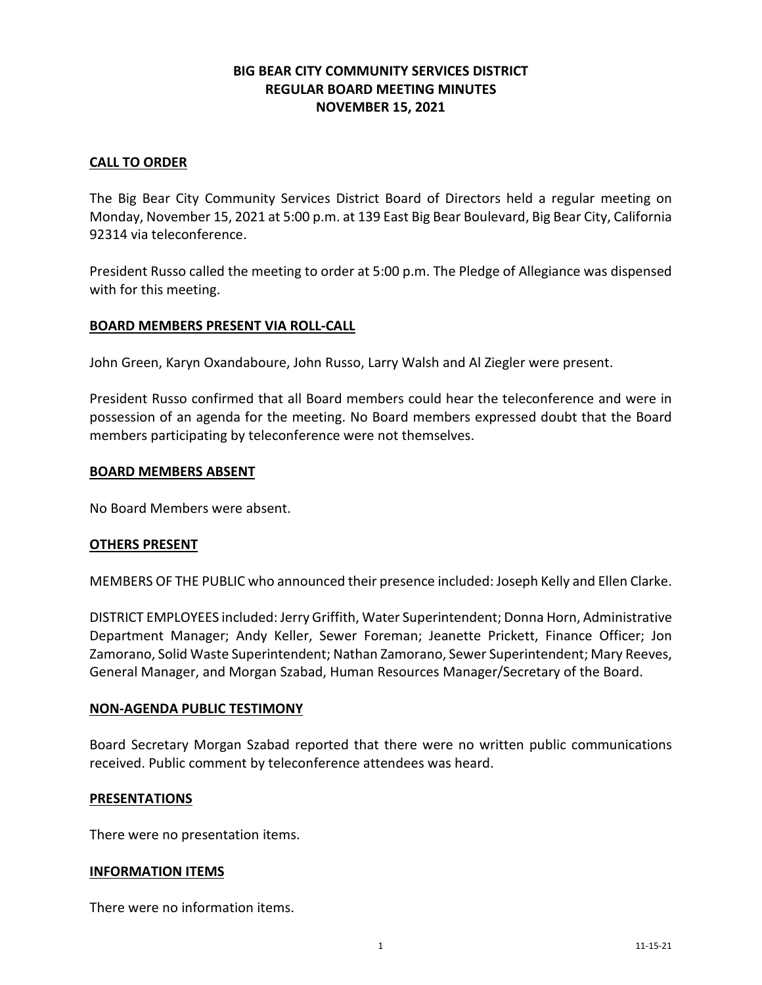# **BIG BEAR CITY COMMUNITY SERVICES DISTRICT REGULAR BOARD MEETING MINUTES NOVEMBER 15, 2021**

## **CALL TO ORDER**

The Big Bear City Community Services District Board of Directors held a regular meeting on Monday, November 15, 2021 at 5:00 p.m. at 139 East Big Bear Boulevard, Big Bear City, California 92314 via teleconference.

President Russo called the meeting to order at 5:00 p.m. The Pledge of Allegiance was dispensed with for this meeting.

## **BOARD MEMBERS PRESENT VIA ROLL-CALL**

John Green, Karyn Oxandaboure, John Russo, Larry Walsh and Al Ziegler were present.

President Russo confirmed that all Board members could hear the teleconference and were in possession of an agenda for the meeting. No Board members expressed doubt that the Board members participating by teleconference were not themselves.

### **BOARD MEMBERS ABSENT**

No Board Members were absent.

### **OTHERS PRESENT**

MEMBERS OF THE PUBLIC who announced their presence included: Joseph Kelly and Ellen Clarke.

DISTRICT EMPLOYEES included: Jerry Griffith, Water Superintendent; Donna Horn, Administrative Department Manager; Andy Keller, Sewer Foreman; Jeanette Prickett, Finance Officer; Jon Zamorano, Solid Waste Superintendent; Nathan Zamorano, Sewer Superintendent; Mary Reeves, General Manager, and Morgan Szabad, Human Resources Manager/Secretary of the Board.

### **NON-AGENDA PUBLIC TESTIMONY**

Board Secretary Morgan Szabad reported that there were no written public communications received. Public comment by teleconference attendees was heard.

### **PRESENTATIONS**

There were no presentation items.

### **INFORMATION ITEMS**

There were no information items.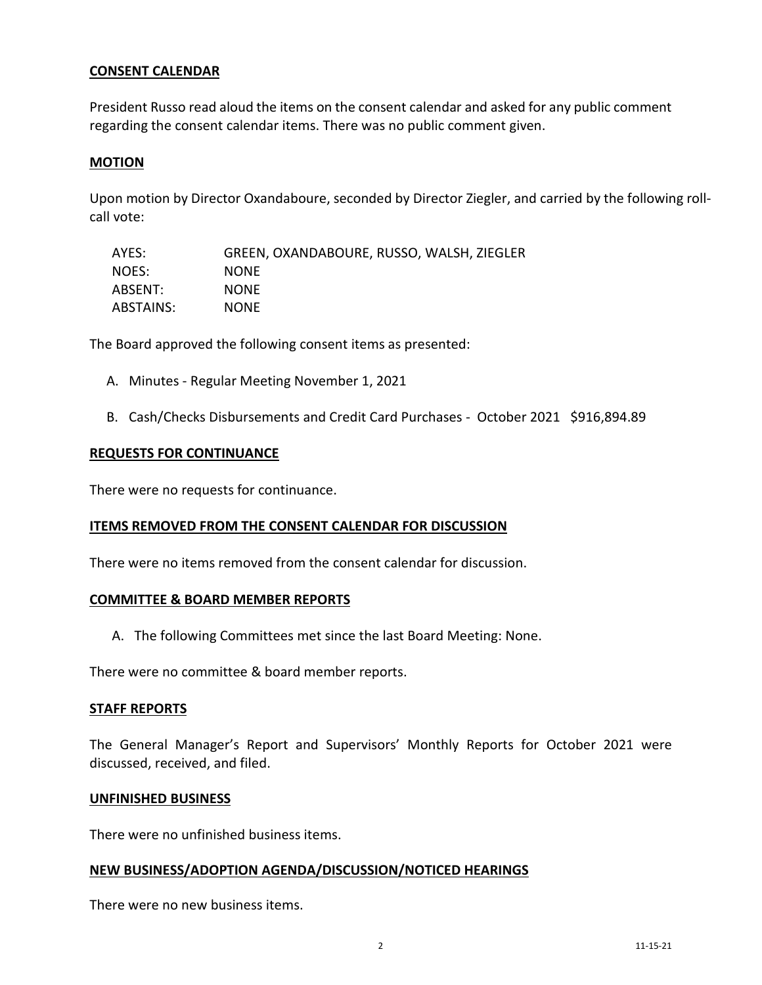## **CONSENT CALENDAR**

President Russo read aloud the items on the consent calendar and asked for any public comment regarding the consent calendar items. There was no public comment given.

## **MOTION**

Upon motion by Director Oxandaboure, seconded by Director Ziegler, and carried by the following rollcall vote:

| AYES:     | GREEN, OXANDABOURE, RUSSO, WALSH, ZIEGLER |
|-----------|-------------------------------------------|
| NOES:     | <b>NONE</b>                               |
| ABSENT:   | <b>NONE</b>                               |
| ABSTAINS: | <b>NONE</b>                               |

The Board approved the following consent items as presented:

- A. Minutes Regular Meeting November 1, 2021
- B. Cash/Checks Disbursements and Credit Card Purchases October 2021 \$916,894.89

### **REQUESTS FOR CONTINUANCE**

There were no requests for continuance.

### **ITEMS REMOVED FROM THE CONSENT CALENDAR FOR DISCUSSION**

There were no items removed from the consent calendar for discussion.

### **COMMITTEE & BOARD MEMBER REPORTS**

A. The following Committees met since the last Board Meeting: None.

There were no committee & board member reports.

### **STAFF REPORTS**

The General Manager's Report and Supervisors' Monthly Reports for October 2021 were discussed, received, and filed.

#### **UNFINISHED BUSINESS**

There were no unfinished business items.

#### **NEW BUSINESS/ADOPTION AGENDA/DISCUSSION/NOTICED HEARINGS**

There were no new business items.